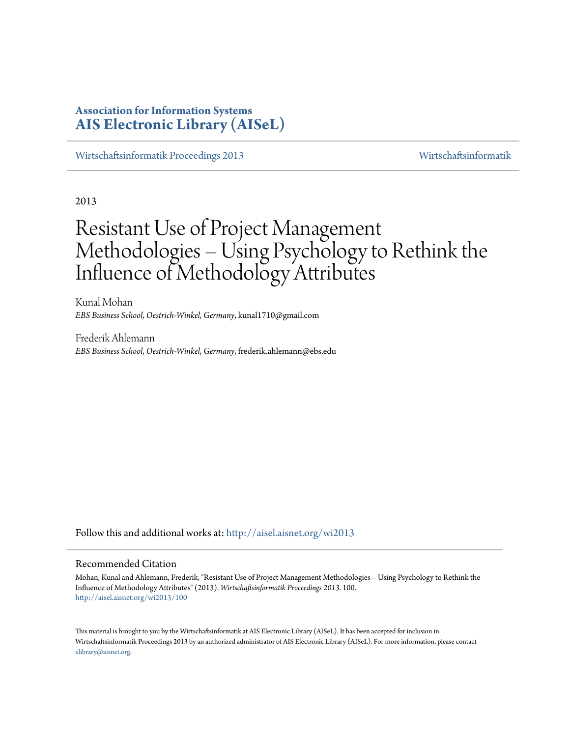# **Association for Information Systems [AIS Electronic Library \(AISeL\)](http://aisel.aisnet.org?utm_source=aisel.aisnet.org%2Fwi2013%2F100&utm_medium=PDF&utm_campaign=PDFCoverPages)**

[Wirtschaftsinformatik Proceedings 2013](http://aisel.aisnet.org/wi2013?utm_source=aisel.aisnet.org%2Fwi2013%2F100&utm_medium=PDF&utm_campaign=PDFCoverPages) [Wirtschaftsinformatik](http://aisel.aisnet.org/wi?utm_source=aisel.aisnet.org%2Fwi2013%2F100&utm_medium=PDF&utm_campaign=PDFCoverPages)

2013

# Resistant Use of Project Management Methodologies - Using Psychology to Rethink the Influence of Methodology Attributes

Kunal Mohan *EBS Business School, Oestrich-Winkel, Germany*, kunal1710@gmail.com

Frederik Ahlemann *EBS Business School, Oestrich-Winkel, Germany*, frederik.ahlemann@ebs.edu

Follow this and additional works at: [http://aisel.aisnet.org/wi2013](http://aisel.aisnet.org/wi2013?utm_source=aisel.aisnet.org%2Fwi2013%2F100&utm_medium=PDF&utm_campaign=PDFCoverPages)

### Recommended Citation

Mohan, Kunal and Ahlemann, Frederik, "Resistant Use of Project Management Methodologies – Using Psychology to Rethink the Influence of Methodology Attributes" (2013). *Wirtschaftsinformatik Proceedings 2013*. 100. [http://aisel.aisnet.org/wi2013/100](http://aisel.aisnet.org/wi2013/100?utm_source=aisel.aisnet.org%2Fwi2013%2F100&utm_medium=PDF&utm_campaign=PDFCoverPages)

This material is brought to you by the Wirtschaftsinformatik at AIS Electronic Library (AISeL). It has been accepted for inclusion in Wirtschaftsinformatik Proceedings 2013 by an authorized administrator of AIS Electronic Library (AISeL). For more information, please contact [elibrary@aisnet.org.](mailto:elibrary@aisnet.org%3E)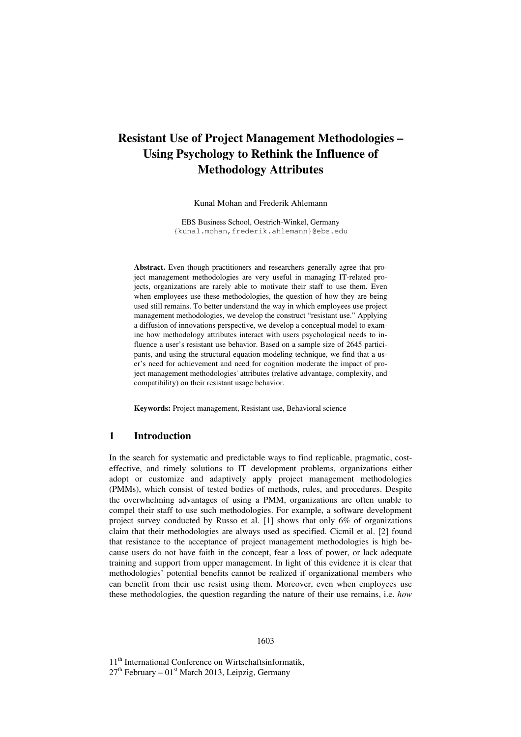# **Resistant Use of Project Management Methodologies – Using Psychology to Rethink the Influence of Methodology Attributes**

Kunal Mohan and Frederik Ahlemann

EBS Business School, Oestrich-Winkel, Germany {kunal.mohan,frederik.ahlemann}@ebs.edu

**Abstract.** Even though practitioners and researchers generally agree that project management methodologies are very useful in managing IT-related projects, organizations are rarely able to motivate their staff to use them. Even when employees use these methodologies, the question of how they are being used still remains. To better understand the way in which employees use project management methodologies, we develop the construct "resistant use." Applying a diffusion of innovations perspective, we develop a conceptual model to examine how methodology attributes interact with users psychological needs to influence a user's resistant use behavior. Based on a sample size of 2645 participants, and using the structural equation modeling technique, we find that a user's need for achievement and need for cognition moderate the impact of project management methodologies' attributes (relative advantage, complexity, and compatibility) on their resistant usage behavior.

**Keywords:** Project management, Resistant use, Behavioral science

# **1 Introduction**

In the search for systematic and predictable ways to find replicable, pragmatic, costeffective, and timely solutions to IT development problems, organizations either adopt or customize and adaptively apply project management methodologies (PMMs), which consist of tested bodies of methods, rules, and procedures. Despite the overwhelming advantages of using a PMM, organizations are often unable to compel their staff to use such methodologies. For example, a software development project survey conducted by Russo et al. [1] shows that only 6% of organizations claim that their methodologies are always used as specified. Cicmil et al. [2] found that resistance to the acceptance of project management methodologies is high because users do not have faith in the concept, fear a loss of power, or lack adequate training and support from upper management. In light of this evidence it is clear that methodologies' potential benefits cannot be realized if organizational members who can benefit from their use resist using them. Moreover, even when employees use these methodologies, the question regarding the nature of their use remains, i.e. *how* 

11<sup>th</sup> International Conference on Wirtschaftsinformatik,  $27<sup>th</sup>$  February –  $01<sup>st</sup>$  March 2013, Leipzig, Germany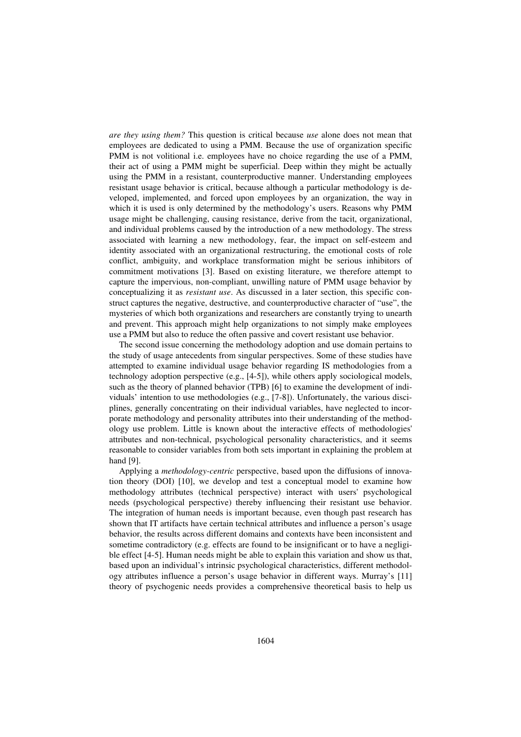*are they using them?* This question is critical because *use* alone does not mean that employees are dedicated to using a PMM. Because the use of organization specific PMM is not volitional i.e. employees have no choice regarding the use of a PMM, their act of using a PMM might be superficial. Deep within they might be actually using the PMM in a resistant, counterproductive manner. Understanding employees resistant usage behavior is critical, because although a particular methodology is developed, implemented, and forced upon employees by an organization, the way in which it is used is only determined by the methodology's users. Reasons why PMM usage might be challenging, causing resistance, derive from the tacit, organizational, and individual problems caused by the introduction of a new methodology. The stress associated with learning a new methodology, fear, the impact on self-esteem and identity associated with an organizational restructuring, the emotional costs of role conflict, ambiguity, and workplace transformation might be serious inhibitors of commitment motivations [3]. Based on existing literature, we therefore attempt to capture the impervious, non-compliant, unwilling nature of PMM usage behavior by conceptualizing it as *resistant use*. As discussed in a later section, this specific construct captures the negative, destructive, and counterproductive character of "use", the mysteries of which both organizations and researchers are constantly trying to unearth and prevent. This approach might help organizations to not simply make employees use a PMM but also to reduce the often passive and covert resistant use behavior.

The second issue concerning the methodology adoption and use domain pertains to the study of usage antecedents from singular perspectives. Some of these studies have attempted to examine individual usage behavior regarding IS methodologies from a technology adoption perspective (e.g., [4-5]), while others apply sociological models, such as the theory of planned behavior (TPB) [6] to examine the development of individuals' intention to use methodologies (e.g.,  $[7-8]$ ). Unfortunately, the various disciplines, generally concentrating on their individual variables, have neglected to incorporate methodology and personality attributes into their understanding of the methodology use problem. Little is known about the interactive effects of methodologies' attributes and non-technical, psychological personality characteristics, and it seems reasonable to consider variables from both sets important in explaining the problem at hand [9].

Applying a *methodology-centric* perspective, based upon the diffusions of innovation theory (DOI) [10], we develop and test a conceptual model to examine how methodology attributes (technical perspective) interact with users' psychological needs (psychological perspective) thereby influencing their resistant use behavior. The integration of human needs is important because, even though past research has shown that IT artifacts have certain technical attributes and influence a person's usage behavior, the results across different domains and contexts have been inconsistent and sometime contradictory (e.g. effects are found to be insignificant or to have a negligible effect [4-5]. Human needs might be able to explain this variation and show us that, based upon an individual's intrinsic psychological characteristics, different methodology attributes influence a person's usage behavior in different ways. Murray's [11] theory of psychogenic needs provides a comprehensive theoretical basis to help us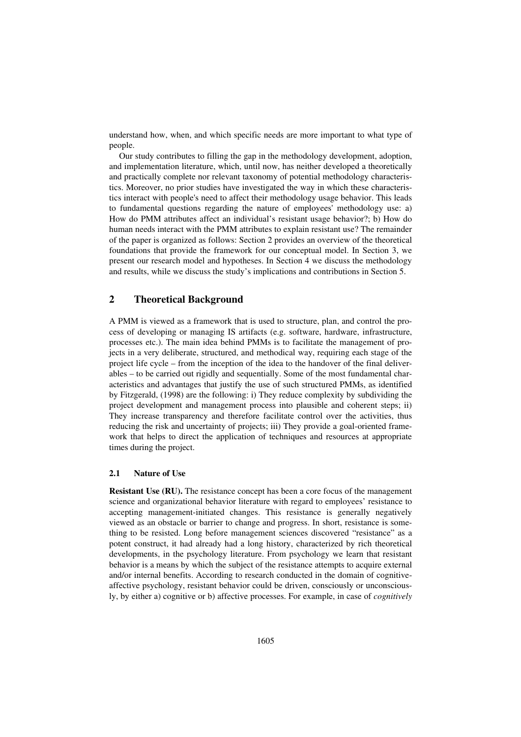understand how, when, and which specific needs are more important to what type of people.

Our study contributes to filling the gap in the methodology development, adoption, and implementation literature, which, until now, has neither developed a theoretically and practically complete nor relevant taxonomy of potential methodology characteristics. Moreover, no prior studies have investigated the way in which these characteristics interact with people's need to affect their methodology usage behavior. This leads to fundamental questions regarding the nature of employees' methodology use: a) How do PMM attributes affect an individual's resistant usage behavior?; b) How do human needs interact with the PMM attributes to explain resistant use? The remainder of the paper is organized as follows: Section 2 provides an overview of the theoretical foundations that provide the framework for our conceptual model. In Section 3, we present our research model and hypotheses. In Section 4 we discuss the methodology and results, while we discuss the study's implications and contributions in Section 5.

# **2 Theoretical Background**

A PMM is viewed as a framework that is used to structure, plan, and control the process of developing or managing IS artifacts (e.g. software, hardware, infrastructure, processes etc.). The main idea behind PMMs is to facilitate the management of projects in a very deliberate, structured, and methodical way, requiring each stage of the project life cycle – from the inception of the idea to the handover of the final deliverables – to be carried out rigidly and sequentially. Some of the most fundamental characteristics and advantages that justify the use of such structured PMMs, as identified by Fitzgerald, (1998) are the following: i) They reduce complexity by subdividing the project development and management process into plausible and coherent steps; ii) They increase transparency and therefore facilitate control over the activities, thus reducing the risk and uncertainty of projects; iii) They provide a goal-oriented framework that helps to direct the application of techniques and resources at appropriate times during the project.

#### **2.1 Nature of Use**

**Resistant Use (RU).** The resistance concept has been a core focus of the management science and organizational behavior literature with regard to employees' resistance to accepting management-initiated changes. This resistance is generally negatively viewed as an obstacle or barrier to change and progress. In short, resistance is something to be resisted. Long before management sciences discovered "resistance" as a potent construct, it had already had a long history, characterized by rich theoretical developments, in the psychology literature. From psychology we learn that resistant behavior is a means by which the subject of the resistance attempts to acquire external and/or internal benefits. According to research conducted in the domain of cognitiveaffective psychology, resistant behavior could be driven, consciously or unconsciously, by either a) cognitive or b) affective processes. For example, in case of *cognitively*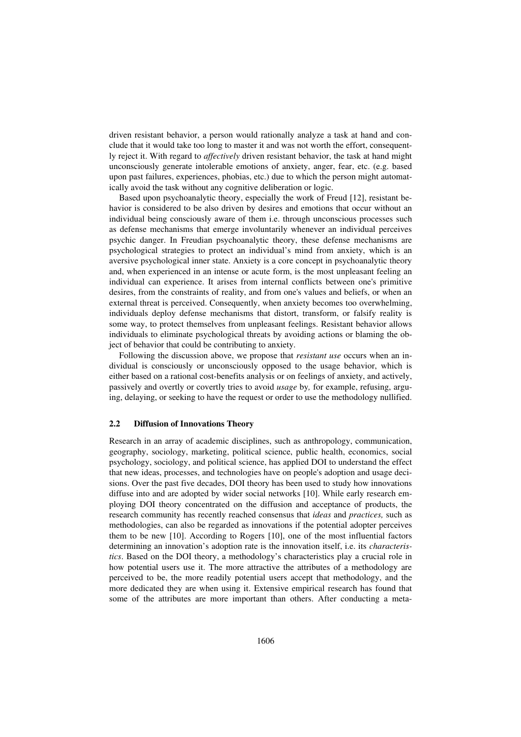driven resistant behavior, a person would rationally analyze a task at hand and conclude that it would take too long to master it and was not worth the effort, consequently reject it. With regard to *affectively* driven resistant behavior, the task at hand might unconsciously generate intolerable emotions of anxiety, anger, fear, etc. (e.g. based upon past failures, experiences, phobias, etc.) due to which the person might automatically avoid the task without any cognitive deliberation or logic.

Based upon psychoanalytic theory, especially the work of Freud [12], resistant behavior is considered to be also driven by desires and emotions that occur without an individual being consciously aware of them i.e. through unconscious processes such as defense mechanisms that emerge involuntarily whenever an individual perceives psychic danger. In Freudian psychoanalytic theory, these defense mechanisms are psychological strategies to protect an individual's mind from anxiety, which is an aversive psychological inner state. Anxiety is a core concept in psychoanalytic theory and, when experienced in an intense or acute form, is the most unpleasant feeling an individual can experience. It arises from internal conflicts between one's primitive desires, from the constraints of reality, and from one's values and beliefs, or when an external threat is perceived. Consequently, when anxiety becomes too overwhelming, individuals deploy defense mechanisms that distort, transform, or falsify reality is some way, to protect themselves from unpleasant feelings. Resistant behavior allows individuals to eliminate psychological threats by avoiding actions or blaming the object of behavior that could be contributing to anxiety.

Following the discussion above, we propose that *resistant use* occurs when an individual is consciously or unconsciously opposed to the usage behavior, which is either based on a rational cost-benefits analysis or on feelings of anxiety, and actively, passively and overtly or covertly tries to avoid *usage* by*,* for example, refusing, arguing, delaying, or seeking to have the request or order to use the methodology nullified.

#### **2.2 Diffusion of Innovations Theory**

Research in an array of academic disciplines, such as anthropology, communication, geography, sociology, marketing, political science, public health, economics, social psychology, sociology, and political science, has applied DOI to understand the effect that new ideas, processes, and technologies have on people's adoption and usage decisions. Over the past five decades, DOI theory has been used to study how innovations diffuse into and are adopted by wider social networks [10]. While early research employing DOI theory concentrated on the diffusion and acceptance of products, the research community has recently reached consensus that *ideas* and *practices,* such as methodologies, can also be regarded as innovations if the potential adopter perceives them to be new [10]. According to Rogers [10], one of the most influential factors determining an innovation's adoption rate is the innovation itself, i.e. its *characteristics*. Based on the DOI theory, a methodology's characteristics play a crucial role in how potential users use it. The more attractive the attributes of a methodology are perceived to be, the more readily potential users accept that methodology, and the more dedicated they are when using it. Extensive empirical research has found that some of the attributes are more important than others. After conducting a meta-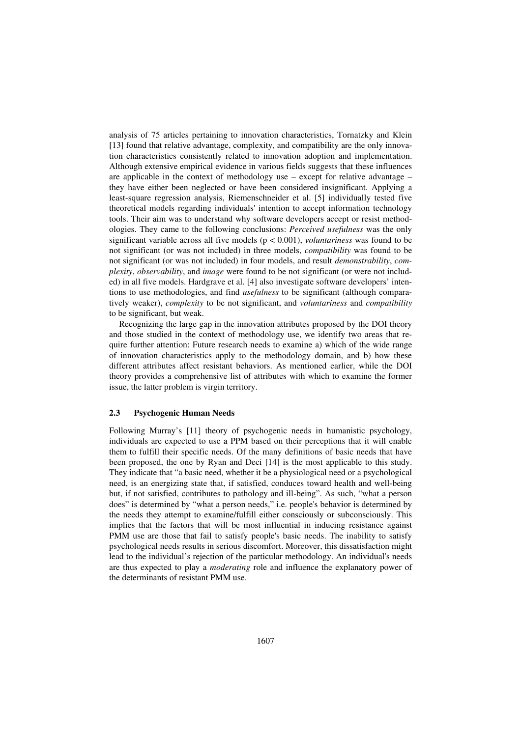analysis of 75 articles pertaining to innovation characteristics, Tornatzky and Klein [13] found that relative advantage, complexity, and compatibility are the only innovation characteristics consistently related to innovation adoption and implementation. Although extensive empirical evidence in various fields suggests that these influences are applicable in the context of methodology use – except for relative advantage – they have either been neglected or have been considered insignificant. Applying a least-square regression analysis, Riemenschneider et al. [5] individually tested five theoretical models regarding individuals' intention to accept information technology tools. Their aim was to understand why software developers accept or resist methodologies. They came to the following conclusions: *Perceived usefulness* was the only significant variable across all five models (p < 0.001), *voluntariness* was found to be not significant (or was not included) in three models, *compatibility* was found to be not significant (or was not included) in four models, and result *demonstrability*, *complexity*, *observability*, and *image* were found to be not significant (or were not included) in all five models. Hardgrave et al. [4] also investigate software developers' intentions to use methodologies, and find *usefulness* to be significant (although comparatively weaker), *complexity* to be not significant, and *voluntariness* and *compatibility*  to be significant, but weak.

Recognizing the large gap in the innovation attributes proposed by the DOI theory and those studied in the context of methodology use, we identify two areas that require further attention: Future research needs to examine a) which of the wide range of innovation characteristics apply to the methodology domain, and b) how these different attributes affect resistant behaviors. As mentioned earlier, while the DOI theory provides a comprehensive list of attributes with which to examine the former issue, the latter problem is virgin territory.

#### **2.3 Psychogenic Human Needs**

Following Murray's [11] theory of psychogenic needs in humanistic psychology, individuals are expected to use a PPM based on their perceptions that it will enable them to fulfill their specific needs. Of the many definitions of basic needs that have been proposed, the one by Ryan and Deci [14] is the most applicable to this study. They indicate that "a basic need, whether it be a physiological need or a psychological need, is an energizing state that, if satisfied, conduces toward health and well-being but, if not satisfied, contributes to pathology and ill-being". As such, "what a person does" is determined by "what a person needs," i.e. people's behavior is determined by the needs they attempt to examine/fulfill either consciously or subconsciously. This implies that the factors that will be most influential in inducing resistance against PMM use are those that fail to satisfy people's basic needs. The inability to satisfy psychological needs results in serious discomfort. Moreover, this dissatisfaction might lead to the individual's rejection of the particular methodology. An individual's needs are thus expected to play a *moderating* role and influence the explanatory power of the determinants of resistant PMM use.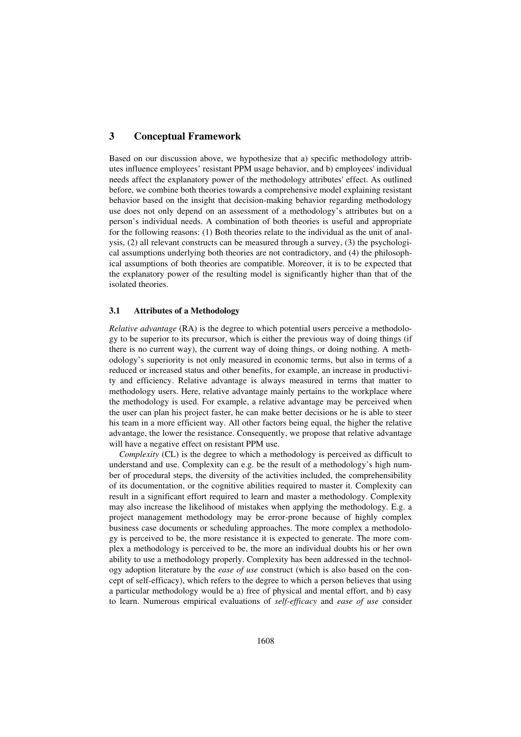# **3 Conceptual Framework**

Based on our discussion above, we hypothesize that a) specific methodology attributes influence employees' resistant PPM usage behavior, and b) employees' individual needs affect the explanatory power of the methodology attributes' effect. As outlined before, we combine both theories towards a comprehensive model explaining resistant behavior based on the insight that decision-making behavior regarding methodology use does not only depend on an assessment of a methodology's attributes but on a person's individual needs. A combination of both theories is useful and appropriate for the following reasons: (1) Both theories relate to the individual as the unit of analysis, (2) all relevant constructs can be measured through a survey, (3) the psychological assumptions underlying both theories are not contradictory, and (4) the philosophical assumptions of both theories are compatible. Moreover, it is to be expected that the explanatory power of the resulting model is significantly higher than that of the isolated theories.

## **3.1 Attributes of a Methodology**

*Relative advantage* (RA) is the degree to which potential users perceive a methodology to be superior to its precursor, which is either the previous way of doing things (if there is no current way), the current way of doing things, or doing nothing. A methodology's superiority is not only measured in economic terms, but also in terms of a reduced or increased status and other benefits, for example, an increase in productivity and efficiency. Relative advantage is always measured in terms that matter to methodology users. Here, relative advantage mainly pertains to the workplace where the methodology is used. For example, a relative advantage may be perceived when the user can plan his project faster, he can make better decisions or he is able to steer his team in a more efficient way. All other factors being equal, the higher the relative advantage, the lower the resistance. Consequently, we propose that relative advantage will have a negative effect on resistant PPM use.

*Complexity* (CL) is the degree to which a methodology is perceived as difficult to understand and use. Complexity can e.g. be the result of a methodology's high number of procedural steps, the diversity of the activities included, the comprehensibility of its documentation, or the cognitive abilities required to master it. Complexity can result in a significant effort required to learn and master a methodology. Complexity may also increase the likelihood of mistakes when applying the methodology. E.g. a project management methodology may be error-prone because of highly complex business case documents or scheduling approaches. The more complex a methodology is perceived to be, the more resistance it is expected to generate. The more complex a methodology is perceived to be, the more an individual doubts his or her own ability to use a methodology properly. Complexity has been addressed in the technology adoption literature by the *ease of use* construct (which is also based on the concept of self-efficacy), which refers to the degree to which a person believes that using a particular methodology would be a) free of physical and mental effort, and b) easy to learn. Numerous empirical evaluations of *self-efficacy* and *ease of use* consider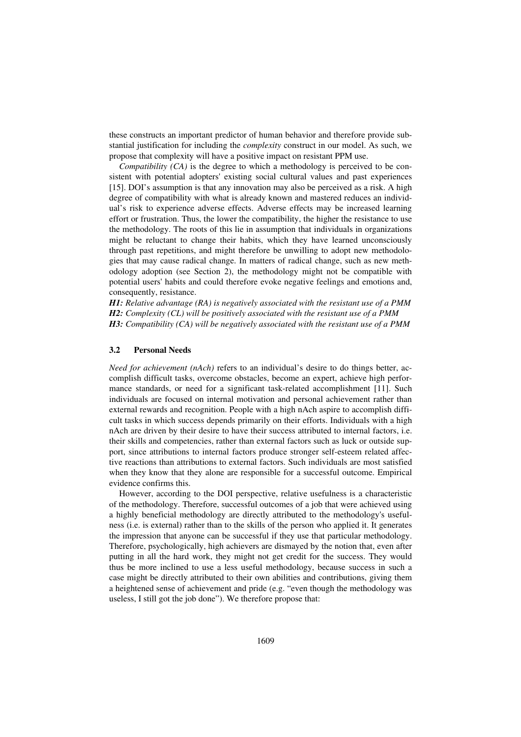these constructs an important predictor of human behavior and therefore provide substantial justification for including the *complexity* construct in our model. As such, we propose that complexity will have a positive impact on resistant PPM use.

*Compatibility (CA)* is the degree to which a methodology is perceived to be consistent with potential adopters' existing social cultural values and past experiences [15]. DOI's assumption is that any innovation may also be perceived as a risk. A high degree of compatibility with what is already known and mastered reduces an individual's risk to experience adverse effects. Adverse effects may be increased learning effort or frustration. Thus, the lower the compatibility, the higher the resistance to use the methodology. The roots of this lie in assumption that individuals in organizations might be reluctant to change their habits, which they have learned unconsciously through past repetitions, and might therefore be unwilling to adopt new methodologies that may cause radical change. In matters of radical change, such as new methodology adoption (see Section 2), the methodology might not be compatible with potential users' habits and could therefore evoke negative feelings and emotions and, consequently, resistance.

*H1: Relative advantage (RA) is negatively associated with the resistant use of a PMM H2: Complexity (CL) will be positively associated with the resistant use of a PMM H3: Compatibility (CA) will be negatively associated with the resistant use of a PMM* 

#### **3.2 Personal Needs**

*Need for achievement (nAch)* refers to an individual's desire to do things better, accomplish difficult tasks, overcome obstacles, become an expert, achieve high performance standards, or need for a significant task-related accomplishment [11]. Such individuals are focused on internal motivation and personal achievement rather than external rewards and recognition. People with a high nAch aspire to accomplish difficult tasks in which success depends primarily on their efforts. Individuals with a high nAch are driven by their desire to have their success attributed to internal factors, i.e. their skills and competencies, rather than external factors such as luck or outside support, since attributions to internal factors produce stronger self-esteem related affective reactions than attributions to external factors. Such individuals are most satisfied when they know that they alone are responsible for a successful outcome. Empirical evidence confirms this.

However, according to the DOI perspective, relative usefulness is a characteristic of the methodology. Therefore, successful outcomes of a job that were achieved using a highly beneficial methodology are directly attributed to the methodology's usefulness (i.e. is external) rather than to the skills of the person who applied it. It generates the impression that anyone can be successful if they use that particular methodology. Therefore, psychologically, high achievers are dismayed by the notion that, even after putting in all the hard work, they might not get credit for the success. They would thus be more inclined to use a less useful methodology, because success in such a case might be directly attributed to their own abilities and contributions, giving them a heightened sense of achievement and pride (e.g. "even though the methodology was useless, I still got the job done"). We therefore propose that: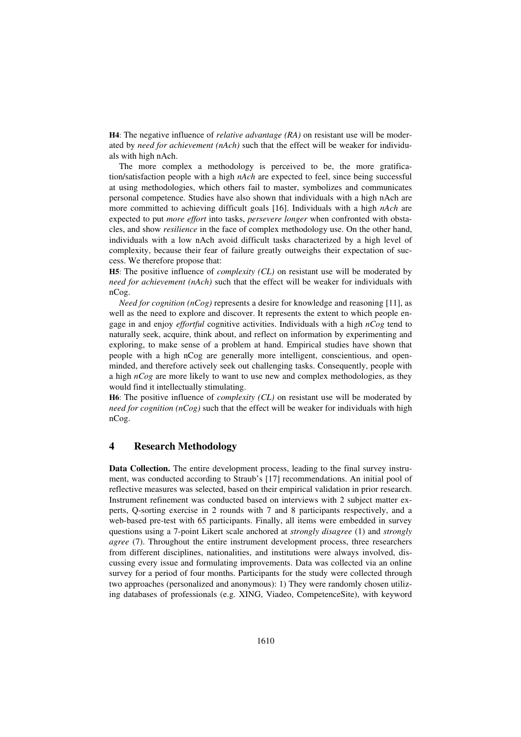**H4**: The negative influence of *relative advantage (RA)* on resistant use will be moderated by *need for achievement (nAch)* such that the effect will be weaker for individuals with high nAch.

The more complex a methodology is perceived to be, the more gratification/satisfaction people with a high *nAch* are expected to feel, since being successful at using methodologies, which others fail to master, symbolizes and communicates personal competence. Studies have also shown that individuals with a high nAch are more committed to achieving difficult goals [16]. Individuals with a high *nAch* are expected to put *more effort* into tasks, *persevere longer* when confronted with obstacles, and show *resilience* in the face of complex methodology use. On the other hand, individuals with a low nAch avoid difficult tasks characterized by a high level of complexity, because their fear of failure greatly outweighs their expectation of success. We therefore propose that:

**H5**: The positive influence of *complexity (CL)* on resistant use will be moderated by *need for achievement (nAch)* such that the effect will be weaker for individuals with nCog.

*Need for cognition (nCog)* represents a desire for knowledge and reasoning [11], as well as the need to explore and discover. It represents the extent to which people engage in and enjoy *effortful* cognitive activities. Individuals with a high *nCog* tend to naturally seek, acquire, think about, and reflect on information by experimenting and exploring, to make sense of a problem at hand. Empirical studies have shown that people with a high nCog are generally more intelligent, conscientious, and openminded, and therefore actively seek out challenging tasks. Consequently, people with a high *nCog* are more likely to want to use new and complex methodologies, as they would find it intellectually stimulating.

**H6**: The positive influence of *complexity (CL)* on resistant use will be moderated by *need for cognition (nCog)* such that the effect will be weaker for individuals with high nCog.

# **4 Research Methodology**

**Data Collection.** The entire development process, leading to the final survey instrument, was conducted according to Straub's [17] recommendations. An initial pool of reflective measures was selected, based on their empirical validation in prior research. Instrument refinement was conducted based on interviews with 2 subject matter experts, Q-sorting exercise in 2 rounds with 7 and 8 participants respectively, and a web-based pre-test with 65 participants. Finally, all items were embedded in survey questions using a 7-point Likert scale anchored at *strongly disagree* (1) and *strongly agree* (7). Throughout the entire instrument development process, three researchers from different disciplines, nationalities, and institutions were always involved, discussing every issue and formulating improvements. Data was collected via an online survey for a period of four months. Participants for the study were collected through two approaches (personalized and anonymous): 1) They were randomly chosen utilizing databases of professionals (e.g. XING, Viadeo, CompetenceSite), with keyword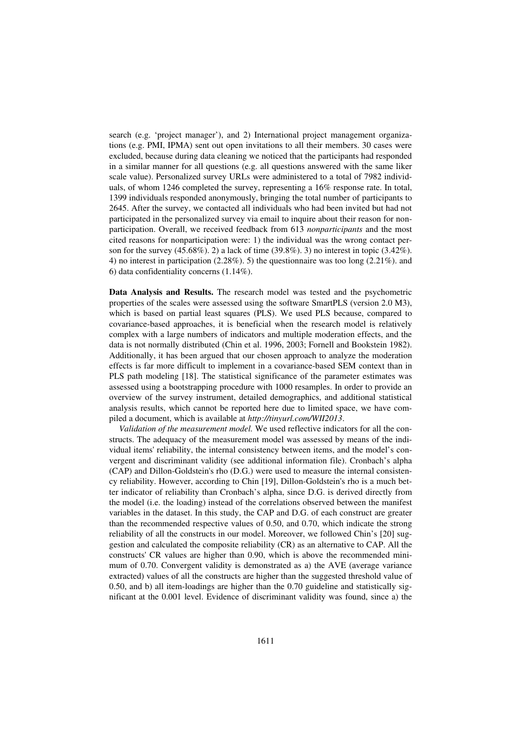search (e.g. 'project manager'), and 2) International project management organizations (e.g. PMI, IPMA) sent out open invitations to all their members. 30 cases were excluded, because during data cleaning we noticed that the participants had responded in a similar manner for all questions (e.g. all questions answered with the same liker scale value). Personalized survey URLs were administered to a total of 7982 individuals, of whom 1246 completed the survey, representing a 16% response rate. In total, 1399 individuals responded anonymously, bringing the total number of participants to 2645. After the survey, we contacted all individuals who had been invited but had not participated in the personalized survey via email to inquire about their reason for nonparticipation. Overall, we received feedback from 613 *nonparticipants* and the most cited reasons for nonparticipation were: 1) the individual was the wrong contact person for the survey  $(45.68\%)$ . 2) a lack of time  $(39.8\%)$ . 3) no interest in topic  $(3.42\%)$ . 4) no interest in participation (2.28%). 5) the questionnaire was too long (2.21%). and 6) data confidentiality concerns (1.14%).

**Data Analysis and Results.** The research model was tested and the psychometric properties of the scales were assessed using the software SmartPLS (version 2.0 M3), which is based on partial least squares (PLS). We used PLS because, compared to covariance-based approaches, it is beneficial when the research model is relatively complex with a large numbers of indicators and multiple moderation effects, and the data is not normally distributed (Chin et al. 1996, 2003; Fornell and Bookstein 1982). Additionally, it has been argued that our chosen approach to analyze the moderation effects is far more difficult to implement in a covariance-based SEM context than in PLS path modeling [18]. The statistical significance of the parameter estimates was assessed using a bootstrapping procedure with 1000 resamples. In order to provide an overview of the survey instrument, detailed demographics, and additional statistical analysis results, which cannot be reported here due to limited space, we have compiled a document, which is available at *http://tinyurl.com/WII2013*.

*Validation of the measurement model.* We used reflective indicators for all the constructs. The adequacy of the measurement model was assessed by means of the individual items' reliability, the internal consistency between items, and the model's convergent and discriminant validity (see additional information file). Cronbach's alpha (CAP) and Dillon-Goldstein's rho (D.G.) were used to measure the internal consistency reliability. However, according to Chin [19], Dillon-Goldstein's rho is a much better indicator of reliability than Cronbach's alpha, since D.G. is derived directly from the model (i.e. the loading) instead of the correlations observed between the manifest variables in the dataset. In this study, the CAP and D.G. of each construct are greater than the recommended respective values of 0.50, and 0.70, which indicate the strong reliability of all the constructs in our model. Moreover, we followed Chin's [20] suggestion and calculated the composite reliability (CR) as an alternative to CAP. All the constructs' CR values are higher than 0.90, which is above the recommended minimum of 0.70. Convergent validity is demonstrated as a) the AVE (average variance extracted) values of all the constructs are higher than the suggested threshold value of 0.50, and b) all item-loadings are higher than the 0.70 guideline and statistically significant at the 0.001 level. Evidence of discriminant validity was found, since a) the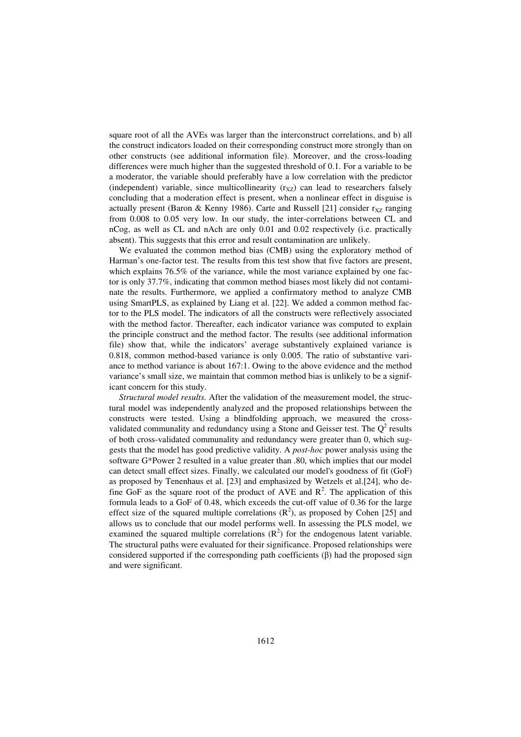square root of all the AVEs was larger than the interconstruct correlations, and b) all the construct indicators loaded on their corresponding construct more strongly than on other constructs (see additional information file). Moreover, and the cross-loading differences were much higher than the suggested threshold of 0.1. For a variable to be a moderator, the variable should preferably have a low correlation with the predictor (independent) variable, since multicollinearity  $(r_{XZ})$  can lead to researchers falsely concluding that a moderation effect is present, when a nonlinear effect in disguise is actually present (Baron & Kenny 1986). Carte and Russell [21] consider  $r_{XZ}$  ranging from 0.008 to 0.05 very low. In our study, the inter-correlations between CL and nCog, as well as CL and nAch are only 0.01 and 0.02 respectively (i.e. practically absent). This suggests that this error and result contamination are unlikely.

We evaluated the common method bias (CMB) using the exploratory method of Harman's one-factor test. The results from this test show that five factors are present, which explains 76.5% of the variance, while the most variance explained by one factor is only 37.7%, indicating that common method biases most likely did not contaminate the results. Furthermore, we applied a confirmatory method to analyze CMB using SmartPLS, as explained by Liang et al. [22]. We added a common method factor to the PLS model. The indicators of all the constructs were reflectively associated with the method factor. Thereafter, each indicator variance was computed to explain the principle construct and the method factor. The results (see additional information file) show that, while the indicators' average substantively explained variance is 0.818, common method-based variance is only 0.005. The ratio of substantive variance to method variance is about 167:1. Owing to the above evidence and the method variance's small size, we maintain that common method bias is unlikely to be a significant concern for this study.

*Structural model results.* After the validation of the measurement model, the structural model was independently analyzed and the proposed relationships between the constructs were tested. Using a blindfolding approach, we measured the crossvalidated communality and redundancy using a Stone and Geisser test. The  $Q^2$  results of both cross-validated communality and redundancy were greater than 0, which suggests that the model has good predictive validity. A *post-hoc* power analysis using the software G\*Power 2 resulted in a value greater than .80, which implies that our model can detect small effect sizes. Finally, we calculated our model's goodness of fit (GoF) as proposed by Tenenhaus et al. [23] and emphasized by Wetzels et al.[24], who define GoF as the square root of the product of AVE and  $\mathbb{R}^2$ . The application of this formula leads to a GoF of 0.48, which exceeds the cut-off value of 0.36 for the large effect size of the squared multiple correlations  $(R^2)$ , as proposed by Cohen [25] and allows us to conclude that our model performs well. In assessing the PLS model, we examined the squared multiple correlations  $(R^2)$  for the endogenous latent variable. The structural paths were evaluated for their significance. Proposed relationships were considered supported if the corresponding path coefficients  $(\beta)$  had the proposed sign and were significant.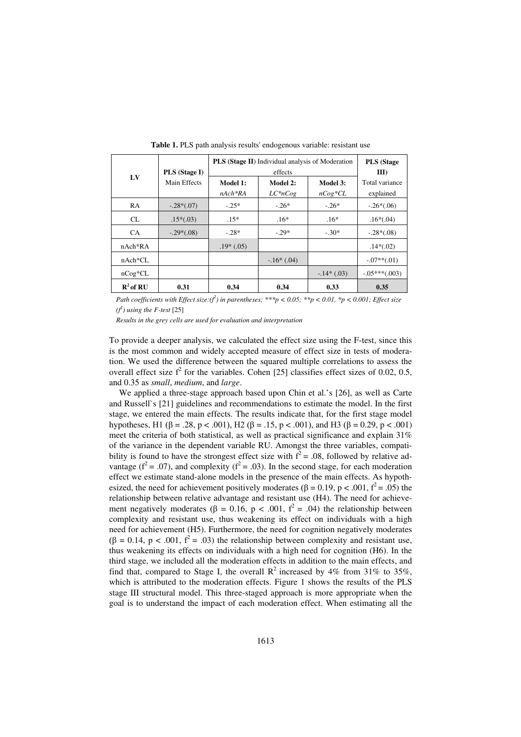| L <sub>V</sub>       | <b>PLS</b> (Stage I)<br>Main Effects | <b>PLS (Stage II)</b> Individual analysis of Moderation<br>effects |                        |                       | <b>PLS</b> (Stage<br>III    |
|----------------------|--------------------------------------|--------------------------------------------------------------------|------------------------|-----------------------|-----------------------------|
|                      |                                      | Model 1:<br>$nAch*RA$                                              | Model 2:<br>$LC^*nCog$ | Model 3:<br>$nCog*CL$ | Total variance<br>explained |
| <b>RA</b>            | $-.28*(.07)$                         | $-.25*$                                                            | $-26*$                 | $-26*$                | $-.26*(.06)$                |
| <b>CL</b>            | $.15*(.03)$                          | $.15*$                                                             | $.16*$                 | $.16*$                | $.16*(.04)$                 |
| <b>CA</b>            | $-.29*(.08)$                         | $-.28*$                                                            | $-.29*$                | $-.30*$               | $-.28*(.08)$                |
| $nAch*RA$            |                                      | $.19*(.05)$                                                        |                        |                       | $.14*(.02)$                 |
| $nAch*CL$            |                                      |                                                                    | $-16*(0.04)$           |                       | $-.07**(.01)$               |
| $nCog*CL$            |                                      |                                                                    |                        | $-14*(0.03)$          | $-.05***(.003)$             |
| $\mathbf{R}^2$ of RU | 0.31                                 | 0.34                                                               | 0.34                   | 0.33                  | 0.35                        |

**Table 1.** PLS path analysis results' endogenous variable: resistant use

*Path coefficients with Effect size:*( $f^2$ ) in parentheses; \*\*\*p < 0.05; \*\*p < 0.01, \*p < 0.001; Effect size  $(f^2)$  using the *F*-test [25]

*Results in the grey cells are used for evaluation and interpretation*

To provide a deeper analysis, we calculated the effect size using the F-test, since this is the most common and widely accepted measure of effect size in tests of moderation. We used the difference between the squared multiple correlations to assess the overall effect size  $f^2$  for the variables. Cohen [25] classifies effect sizes of 0.02, 0.5, and 0.35 as *small*, *medium*, and *large*.

We applied a three-stage approach based upon Chin et al.'s [26], as well as Carte and Russell`s [21] guidelines and recommendations to estimate the model. In the first stage, we entered the main effects. The results indicate that, for the first stage model hypotheses, H1 ( $\beta$  = .28, p < .001), H2 ( $\beta$  = .15, p < .001), and H3 ( $\beta$  = 0.29, p < .001) meet the criteria of both statistical, as well as practical significance and explain 31% of the variance in the dependent variable RU. Amongst the three variables, compatibility is found to have the strongest effect size with  $f^2 = .08$ , followed by relative advantage ( $f^2 = .07$ ), and complexity ( $f^2 = .03$ ). In the second stage, for each moderation effect we estimate stand-alone models in the presence of the main effects. As hypothesized, the need for achievement positively moderates ( $\beta = 0.19$ ,  $p < .001$ ,  $f^2 = .05$ ) the relationship between relative advantage and resistant use (H4). The need for achievement negatively moderates ( $\beta = 0.16$ ,  $p < .001$ ,  $f^2 = .04$ ) the relationship between complexity and resistant use, thus weakening its effect on individuals with a high need for achievement (H5). Furthermore, the need for cognition negatively moderates  $(\beta = 0.14, p < .001, f^2 = .03)$  the relationship between complexity and resistant use, thus weakening its effects on individuals with a high need for cognition (H6). In the third stage, we included all the moderation effects in addition to the main effects, and find that, compared to Stage I, the overall  $\mathbb{R}^2$  increased by 4% from 31% to 35%, which is attributed to the moderation effects. Figure 1 shows the results of the PLS stage III structural model. This three-staged approach is more appropriate when the goal is to understand the impact of each moderation effect. When estimating all the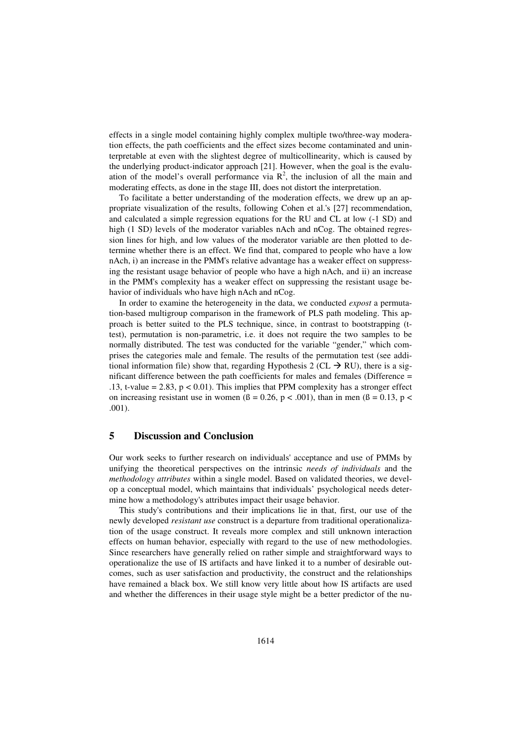effects in a single model containing highly complex multiple two/three-way moderation effects, the path coefficients and the effect sizes become contaminated and uninterpretable at even with the slightest degree of multicollinearity, which is caused by the underlying product-indicator approach [21]. However, when the goal is the evaluation of the model's overall performance via  $R^2$ , the inclusion of all the main and moderating effects, as done in the stage III, does not distort the interpretation.

To facilitate a better understanding of the moderation effects, we drew up an appropriate visualization of the results, following Cohen et al.'s [27] recommendation, and calculated a simple regression equations for the RU and CL at low (-1 SD) and high (1 SD) levels of the moderator variables nAch and nCog. The obtained regression lines for high, and low values of the moderator variable are then plotted to determine whether there is an effect. We find that, compared to people who have a low nAch, i) an increase in the PMM's relative advantage has a weaker effect on suppressing the resistant usage behavior of people who have a high nAch, and ii) an increase in the PMM's complexity has a weaker effect on suppressing the resistant usage behavior of individuals who have high nAch and nCog.

In order to examine the heterogeneity in the data, we conducted *expost* a permutation-based multigroup comparison in the framework of PLS path modeling. This approach is better suited to the PLS technique, since, in contrast to bootstrapping (ttest), permutation is non-parametric, i.e. it does not require the two samples to be normally distributed. The test was conducted for the variable "gender," which comprises the categories male and female. The results of the permutation test (see additional information file) show that, regarding Hypothesis 2 (CL  $\rightarrow$  RU), there is a significant difference between the path coefficients for males and females (Difference = .13, t-value =  $2.83$ ,  $p < 0.01$ ). This implies that PPM complexity has a stronger effect on increasing resistant use in women ( $\beta = 0.26$ ,  $p < .001$ ), than in men ( $\beta = 0.13$ ,  $p <$ .001).

# **5 Discussion and Conclusion**

Our work seeks to further research on individuals' acceptance and use of PMMs by unifying the theoretical perspectives on the intrinsic *needs of individuals* and the *methodology attributes* within a single model. Based on validated theories, we develop a conceptual model, which maintains that individuals' psychological needs determine how a methodology's attributes impact their usage behavior.

This study's contributions and their implications lie in that, first, our use of the newly developed *resistant use* construct is a departure from traditional operationalization of the usage construct. It reveals more complex and still unknown interaction effects on human behavior, especially with regard to the use of new methodologies. Since researchers have generally relied on rather simple and straightforward ways to operationalize the use of IS artifacts and have linked it to a number of desirable outcomes, such as user satisfaction and productivity, the construct and the relationships have remained a black box. We still know very little about how IS artifacts are used and whether the differences in their usage style might be a better predictor of the nu-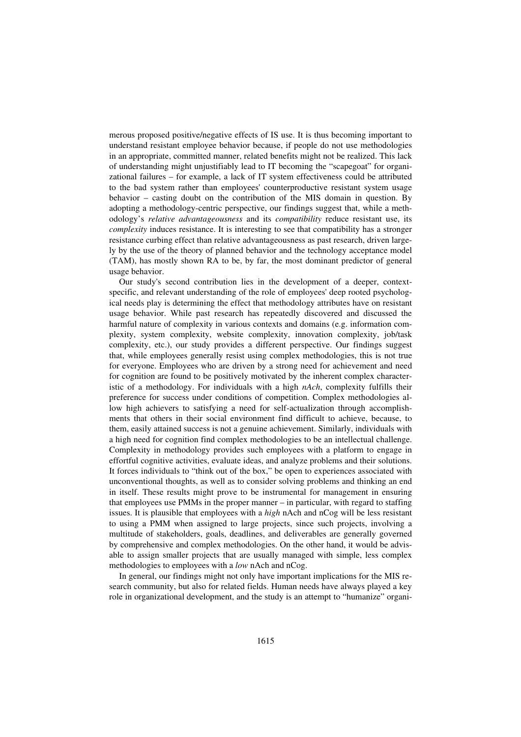merous proposed positive/negative effects of IS use. It is thus becoming important to understand resistant employee behavior because, if people do not use methodologies in an appropriate, committed manner, related benefits might not be realized. This lack of understanding might unjustifiably lead to IT becoming the "scapegoat" for organizational failures – for example, a lack of IT system effectiveness could be attributed to the bad system rather than employees' counterproductive resistant system usage behavior – casting doubt on the contribution of the MIS domain in question. By adopting a methodology-centric perspective, our findings suggest that, while a methodology's *relative advantageousness* and its *compatibility* reduce resistant use, its *complexity* induces resistance. It is interesting to see that compatibility has a stronger resistance curbing effect than relative advantageousness as past research, driven largely by the use of the theory of planned behavior and the technology acceptance model (TAM), has mostly shown RA to be, by far, the most dominant predictor of general usage behavior.

Our study's second contribution lies in the development of a deeper, contextspecific, and relevant understanding of the role of employees' deep rooted psychological needs play is determining the effect that methodology attributes have on resistant usage behavior. While past research has repeatedly discovered and discussed the harmful nature of complexity in various contexts and domains (e.g. information complexity, system complexity, website complexity, innovation complexity, job/task complexity, etc.), our study provides a different perspective. Our findings suggest that, while employees generally resist using complex methodologies, this is not true for everyone. Employees who are driven by a strong need for achievement and need for cognition are found to be positively motivated by the inherent complex characteristic of a methodology. For individuals with a high *nAch*, complexity fulfills their preference for success under conditions of competition. Complex methodologies allow high achievers to satisfying a need for self-actualization through accomplishments that others in their social environment find difficult to achieve, because, to them, easily attained success is not a genuine achievement. Similarly, individuals with a high need for cognition find complex methodologies to be an intellectual challenge. Complexity in methodology provides such employees with a platform to engage in effortful cognitive activities, evaluate ideas, and analyze problems and their solutions. It forces individuals to "think out of the box," be open to experiences associated with unconventional thoughts, as well as to consider solving problems and thinking an end in itself. These results might prove to be instrumental for management in ensuring that employees use PMMs in the proper manner – in particular, with regard to staffing issues. It is plausible that employees with a *high* nAch and nCog will be less resistant to using a PMM when assigned to large projects, since such projects, involving a multitude of stakeholders, goals, deadlines, and deliverables are generally governed by comprehensive and complex methodologies. On the other hand, it would be advisable to assign smaller projects that are usually managed with simple, less complex methodologies to employees with a *low* nAch and nCog.

In general, our findings might not only have important implications for the MIS research community, but also for related fields. Human needs have always played a key role in organizational development, and the study is an attempt to "humanize" organi-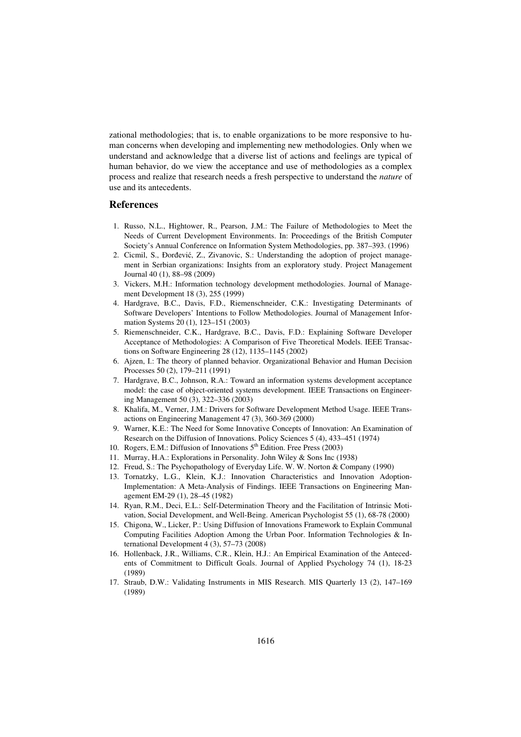zational methodologies; that is, to enable organizations to be more responsive to human concerns when developing and implementing new methodologies. Only when we understand and acknowledge that a diverse list of actions and feelings are typical of human behavior, do we view the acceptance and use of methodologies as a complex process and realize that research needs a fresh perspective to understand the *nature* of use and its antecedents.

#### **References**

- 1. Russo, N.L., Hightower, R., Pearson, J.M.: The Failure of Methodologies to Meet the Needs of Current Development Environments. In: Proceedings of the British Computer Society's Annual Conference on Information System Methodologies, pp. 387–393. (1996)
- 2. Cicmil, S., Ðorđević, Z., Zivanovic, S.: Understanding the adoption of project management in Serbian organizations: Insights from an exploratory study. Project Management Journal 40 (1), 88–98 (2009)
- 3. Vickers, M.H.: Information technology development methodologies. Journal of Management Development 18 (3), 255 (1999)
- 4. Hardgrave, B.C., Davis, F.D., Riemenschneider, C.K.: Investigating Determinants of Software Developers' Intentions to Follow Methodologies. Journal of Management Information Systems 20 (1), 123–151 (2003)
- 5. Riemenschneider, C.K., Hardgrave, B.C., Davis, F.D.: Explaining Software Developer Acceptance of Methodologies: A Comparison of Five Theoretical Models. IEEE Transactions on Software Engineering 28 (12), 1135–1145 (2002)
- 6. Ajzen, I.: The theory of planned behavior. Organizational Behavior and Human Decision Processes 50 (2), 179–211 (1991)
- 7. Hardgrave, B.C., Johnson, R.A.: Toward an information systems development acceptance model: the case of object-oriented systems development. IEEE Transactions on Engineering Management 50 (3), 322–336 (2003)
- 8. Khalifa, M., Verner, J.M.: Drivers for Software Development Method Usage. IEEE Transactions on Engineering Management 47 (3), 360-369 (2000)
- 9. Warner, K.E.: The Need for Some Innovative Concepts of Innovation: An Examination of Research on the Diffusion of Innovations. Policy Sciences 5 (4), 433–451 (1974)
- 10. Rogers, E.M.: Diffusion of Innovations  $5<sup>th</sup>$  Edition. Free Press (2003)
- 11. Murray, H.A.: Explorations in Personality. John Wiley & Sons Inc (1938)
- 12. Freud, S.: The Psychopathology of Everyday Life. W. W. Norton & Company (1990)
- 13. Tornatzky, L.G., Klein, K.J.: Innovation Characteristics and Innovation Adoption-Implementation: A Meta-Analysis of Findings. IEEE Transactions on Engineering Management EM-29 (1), 28–45 (1982)
- 14. Ryan, R.M., Deci, E.L.: Self-Determination Theory and the Facilitation of Intrinsic Motivation, Social Development, and Well-Being. American Psychologist 55 (1), 68-78 (2000)
- 15. Chigona, W., Licker, P.: Using Diffusion of Innovations Framework to Explain Communal Computing Facilities Adoption Among the Urban Poor. Information Technologies & International Development 4 (3), 57–73 (2008)
- 16. Hollenback, J.R., Williams, C.R., Klein, H.J.: An Empirical Examination of the Antecedents of Commitment to Difficult Goals. Journal of Applied Psychology 74 (1), 18-23 (1989)
- 17. Straub, D.W.: Validating Instruments in MIS Research. MIS Quarterly 13 (2), 147–169 (1989)